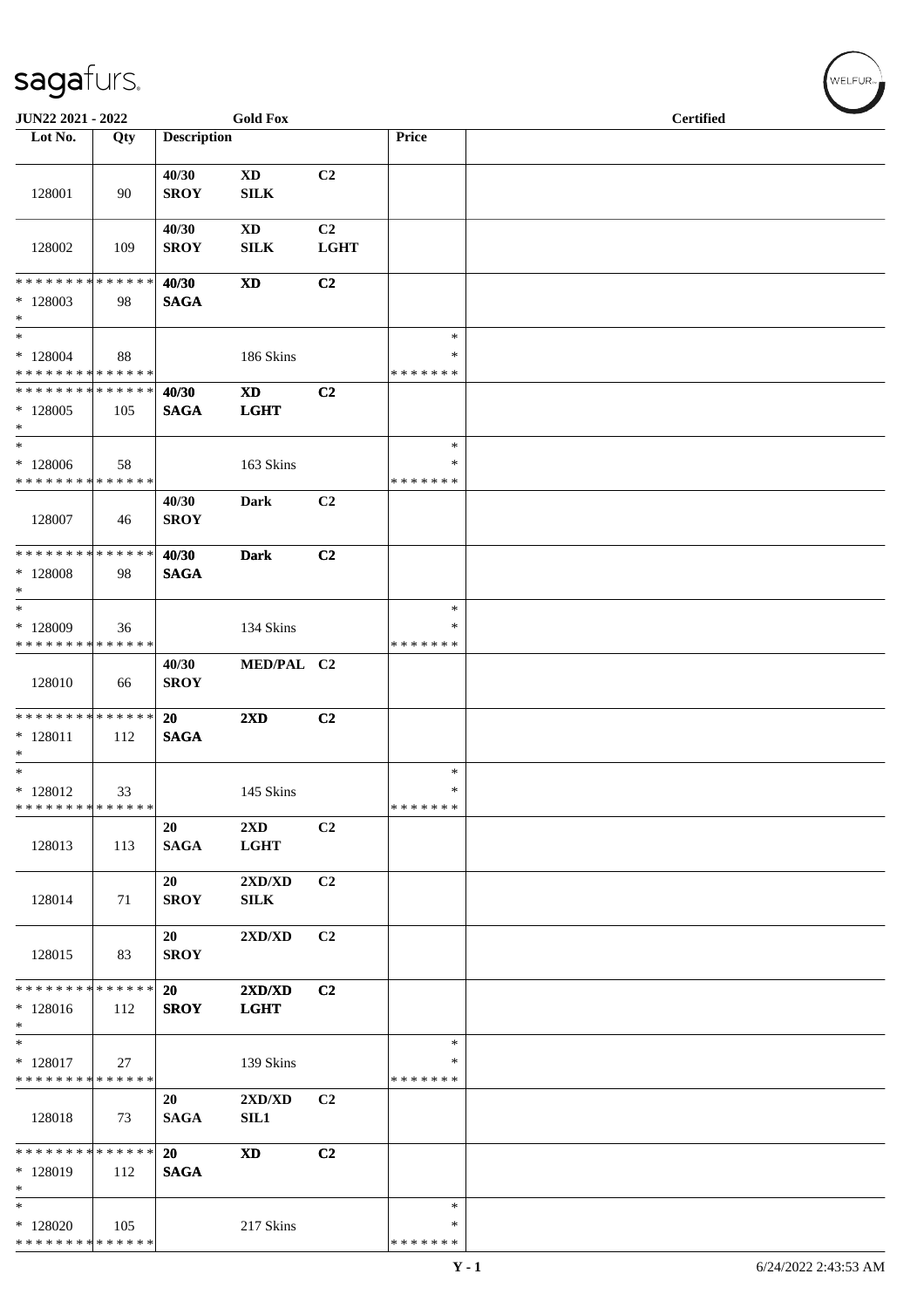| JUN22 2021 - 2022                                                               |     |                          | <b>Gold Fox</b>                                 |                               |                                   | <b>Certified</b> |  |
|---------------------------------------------------------------------------------|-----|--------------------------|-------------------------------------------------|-------------------------------|-----------------------------------|------------------|--|
| Lot No.                                                                         | Qty | <b>Description</b>       |                                                 |                               | Price                             |                  |  |
| 128001                                                                          | 90  | 40/30<br><b>SROY</b>     | <b>XD</b><br><b>SILK</b>                        | C2                            |                                   |                  |  |
| 128002                                                                          | 109 | 40/30<br><b>SROY</b>     | <b>XD</b><br><b>SILK</b>                        | C <sub>2</sub><br><b>LGHT</b> |                                   |                  |  |
| * * * * * * * * * * * * * *<br>$*128003$<br>$\ast$                              | 98  | 40/30<br><b>SAGA</b>     | $\mathbf{X}\mathbf{D}$                          | C2                            |                                   |                  |  |
| $\ast$<br>$*128004$<br>* * * * * * * * * * * * * *                              | 88  |                          | 186 Skins                                       |                               | $\ast$<br>∗<br>* * * * * * *      |                  |  |
| ******** <mark>******</mark><br>$*128005$<br>$\ast$                             | 105 | 40/30<br><b>SAGA</b>     | <b>XD</b><br><b>LGHT</b>                        | C2                            |                                   |                  |  |
| $\overline{\phantom{a}}$<br>* 128006<br>* * * * * * * * * * * * * *             | 58  |                          | 163 Skins                                       |                               | $\ast$<br>∗<br>* * * * * * *      |                  |  |
| 128007                                                                          | 46  | 40/30<br><b>SROY</b>     | Dark                                            | C <sub>2</sub>                |                                   |                  |  |
| * * * * * * * * * * * * * *<br>* 128008<br>$\ast$<br>$_{\ast}^{-}$              | 98  | 40/30<br><b>SAGA</b>     | <b>Dark</b>                                     | C2                            |                                   |                  |  |
| * 128009<br>* * * * * * * * * * * * * *                                         | 36  |                          | 134 Skins                                       |                               | $\ast$<br>∗<br>* * * * * * *      |                  |  |
| 128010                                                                          | 66  | 40/30<br><b>SROY</b>     | MED/PAL C2                                      |                               |                                   |                  |  |
| * * * * * * * * * * * * * *<br>$* 128011$<br>$\ast$<br>$\overline{\phantom{0}}$ | 112 | <b>20</b><br><b>SAGA</b> | $2\mathbf{X}\mathbf{D}$                         | C <sub>2</sub>                |                                   |                  |  |
| $*$ 128012<br>* * * * * * * * * * * * * *                                       | 33  |                          | 145 Skins                                       |                               | $\ast$<br>$\ast$<br>*******       |                  |  |
| 128013                                                                          | 113 | 20<br><b>SAGA</b>        | $2{\bf X}{\bf D}$<br><b>LGHT</b>                | C <sub>2</sub>                |                                   |                  |  |
| 128014                                                                          | 71  | 20<br><b>SROY</b>        | 2XD/XD<br>SILK                                  | C <sub>2</sub>                |                                   |                  |  |
| 128015                                                                          | 83  | 20<br><b>SROY</b>        | $2{\bf X}{\bf D}/{\bf X}{\bf D}$                | C <sub>2</sub>                |                                   |                  |  |
| * * * * * * * * * * * * * *<br>$*128016$<br>$\ast$                              | 112 | 20<br><b>SROY</b>        | 2XD/XD<br><b>LGHT</b>                           | C <sub>2</sub>                |                                   |                  |  |
| $\ast$<br>$*128017$<br>* * * * * * * * * * * * * *                              | 27  |                          | 139 Skins                                       |                               | $\ast$<br>∗<br>* * * * * * *      |                  |  |
| 128018                                                                          | 73  | 20<br><b>SAGA</b>        | $2{\bf X}{\bf D}/{\bf X}{\bf D}$<br><b>SIL1</b> | C <sub>2</sub>                |                                   |                  |  |
| * * * * * * * * * * * * * *<br>* 128019<br>$\ast$                               | 112 | 20<br><b>SAGA</b>        | $\mathbf{X}\mathbf{D}$                          | C2                            |                                   |                  |  |
| $\ast$<br>$*128020$<br>**************                                           | 105 |                          | 217 Skins                                       |                               | $\ast$<br>$\ast$<br>* * * * * * * |                  |  |

WELFUR<sub><sup>N</sub></sub></sub></sup>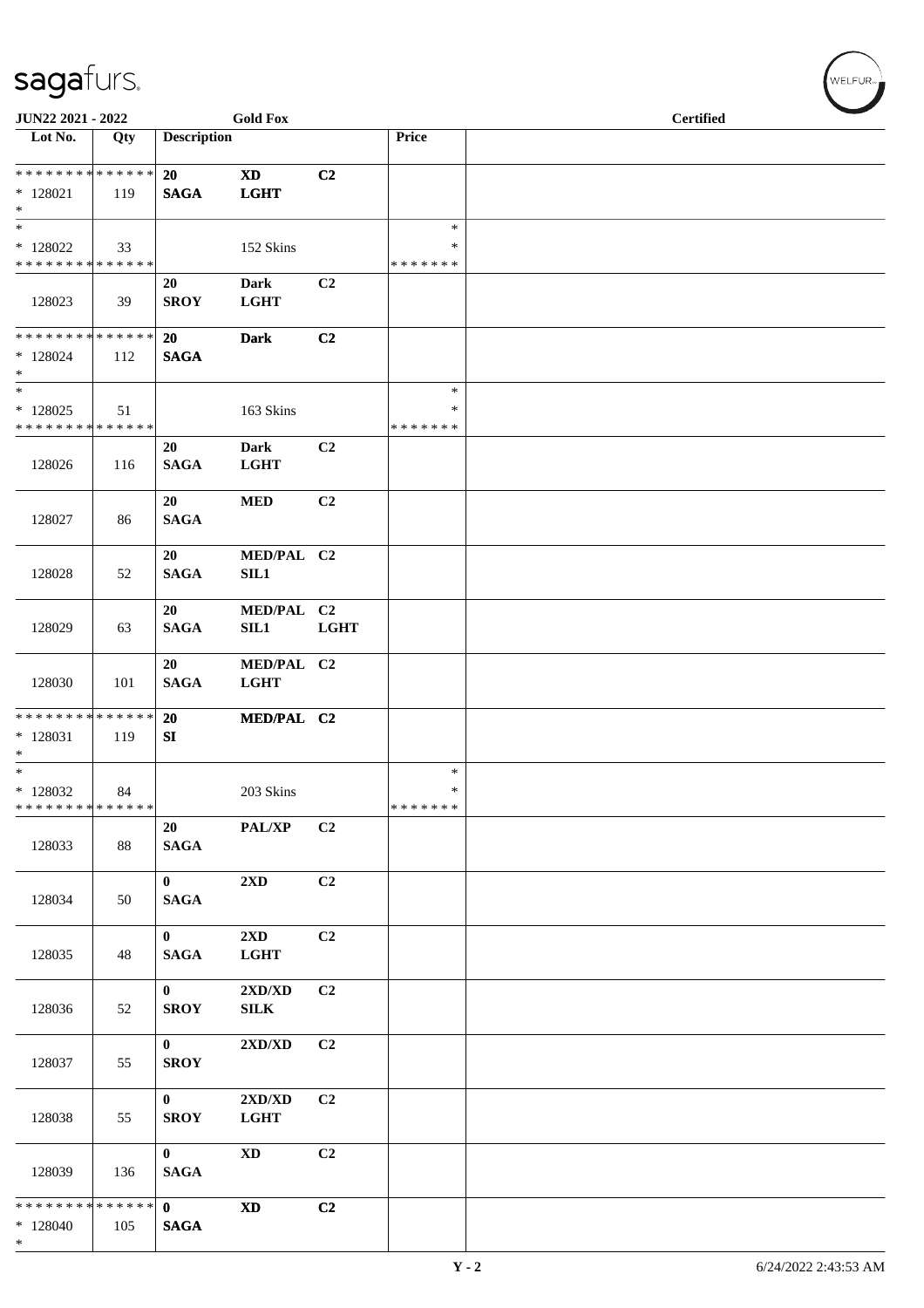| JUN22 2021 - 2022                                  |     |                                 | <b>Gold Fox</b>                                  |                |                                   | <b>Certified</b> |  |
|----------------------------------------------------|-----|---------------------------------|--------------------------------------------------|----------------|-----------------------------------|------------------|--|
| Lot No.                                            | Qty | <b>Description</b>              |                                                  |                | Price                             |                  |  |
| * * * * * * * * * * * * * *<br>$*$ 128021<br>$*$   | 119 | 20<br><b>SAGA</b>               | $\boldsymbol{\mathrm{XD}}$<br><b>LGHT</b>        | C2             |                                   |                  |  |
| $\ast$<br>$*128022$<br>* * * * * * * * * * * * * * | 33  |                                 | 152 Skins                                        |                | $\ast$<br>$\ast$<br>* * * * * * * |                  |  |
| 128023                                             | 39  | 20<br><b>SROY</b>               | <b>Dark</b><br><b>LGHT</b>                       | C2             |                                   |                  |  |
| * * * * * * * * * * * * * *<br>* 128024<br>$*$     | 112 | 20<br><b>SAGA</b>               | <b>Dark</b>                                      | C <sub>2</sub> |                                   |                  |  |
| $\ast$<br>$*128025$<br>* * * * * * * * * * * * * * | 51  |                                 | 163 Skins                                        |                | $\ast$<br>$\ast$<br>* * * * * * * |                  |  |
| 128026                                             | 116 | 20<br><b>SAGA</b>               | <b>Dark</b><br><b>LGHT</b>                       | C <sub>2</sub> |                                   |                  |  |
| 128027                                             | 86  | 20<br><b>SAGA</b>               | $\bf MED$                                        | C2             |                                   |                  |  |
| 128028                                             | 52  | 20<br><b>SAGA</b>               | MED/PAL C2<br>SIL1                               |                |                                   |                  |  |
| 128029                                             | 63  | 20<br><b>SAGA</b>               | MED/PAL C2<br><b>SIL1</b>                        | <b>LGHT</b>    |                                   |                  |  |
| 128030                                             | 101 | 20<br><b>SAGA</b>               | MED/PAL C2<br><b>LGHT</b>                        |                |                                   |                  |  |
| * * * * * * * * * * * * * *<br>$*128031$<br>$\ast$ | 119 | 20<br>SI                        | MED/PAL C2                                       |                |                                   |                  |  |
| $*$<br>$*128032$<br>******** <mark>******</mark>   | 84  |                                 | 203 Skins                                        |                | $\ast$<br>$\ast$<br>* * * * * * * |                  |  |
| 128033                                             | 88  | 20<br><b>SAGA</b>               | PAL/XP                                           | C2             |                                   |                  |  |
| 128034                                             | 50  | $\mathbf{0}$<br><b>SAGA</b>     | $2{\bf X}{\bf D}$                                | C2             |                                   |                  |  |
| 128035                                             | 48  | $\bf{0}$<br><b>SAGA</b>         | $2\mathbf{X}\mathbf{D}$<br><b>LGHT</b>           | C2             |                                   |                  |  |
| 128036                                             | 52  | $\mathbf{0}$<br><b>SROY</b>     | $2{\bf X}{\bf D}/{\bf X}{\bf D}$<br>${\bf SILK}$ | C2             |                                   |                  |  |
| 128037                                             | 55  | $\mathbf{0}$<br><b>SROY</b>     | $2{\bf X}{\bf D}/{\bf X}{\bf D}$                 | C <sub>2</sub> |                                   |                  |  |
| 128038                                             | 55  | $\mathbf{0}$<br><b>SROY</b>     | $2{\bf X}{\bf D}/{\bf X}{\bf D}$<br><b>LGHT</b>  | C2             |                                   |                  |  |
| 128039                                             | 136 | $\mathbf{0}$<br><b>SAGA</b>     | $\mathbf{X}\mathbf{D}$                           | C2             |                                   |                  |  |
| * * * * * * * * * * * * * *<br>$*128040$<br>$*$    | 105 | $\mathbf{0}$<br>$\mathbf{SAGA}$ | $\mathbf{X}\mathbf{D}$                           | C <sub>2</sub> |                                   |                  |  |

WELFUR<sub>"</sub>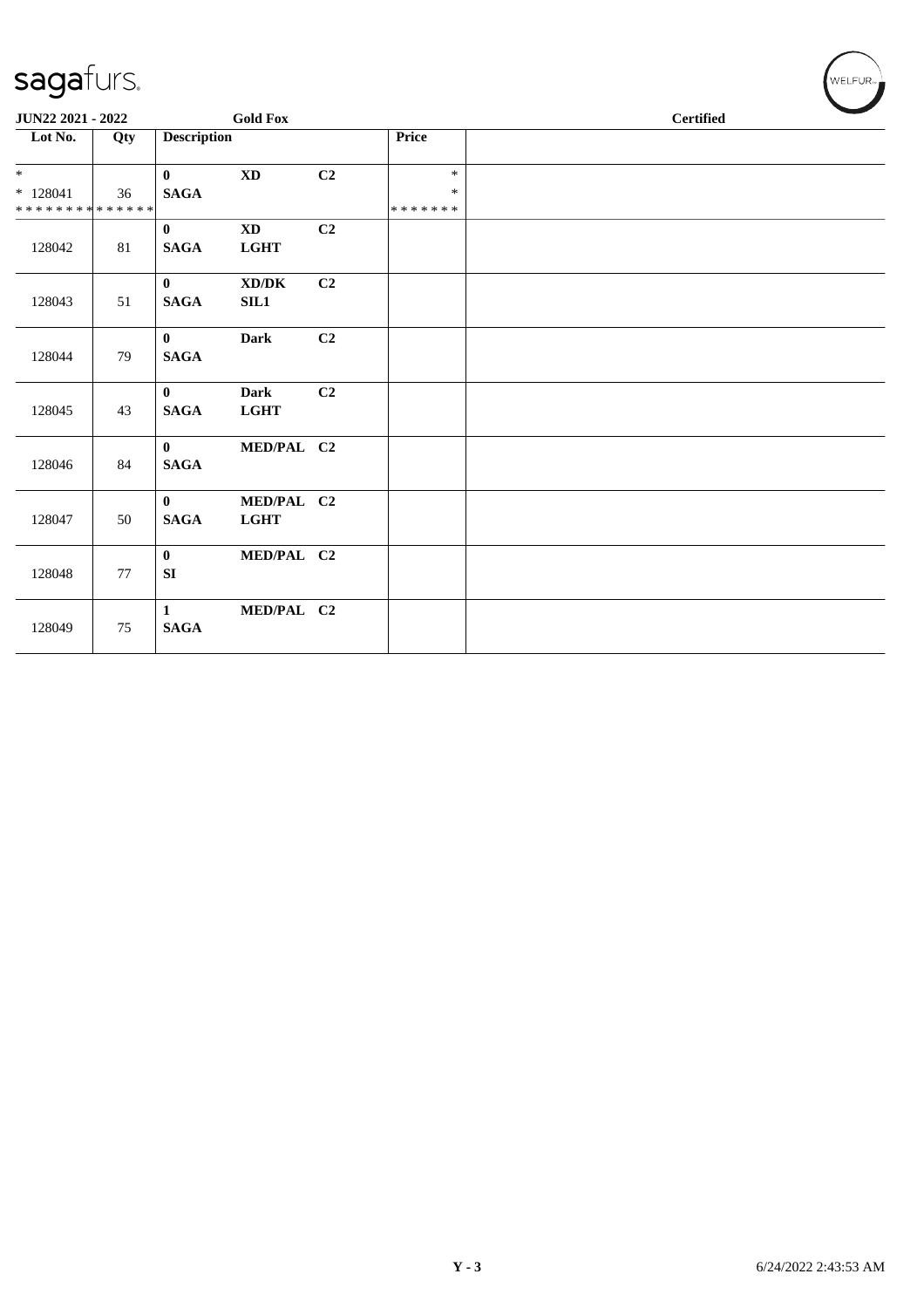| JUN22 2021 - 2022                        |     |                             | <b>Gold Fox</b>                            |                |                         |  | <b>Certified</b> |  |
|------------------------------------------|-----|-----------------------------|--------------------------------------------|----------------|-------------------------|--|------------------|--|
| Lot No.                                  | Qty | <b>Description</b>          |                                            |                | <b>Price</b>            |  |                  |  |
|                                          |     | $\mathbf{0}$                | <b>XD</b>                                  | C <sub>2</sub> | $\ast$                  |  |                  |  |
| $*128041$<br>* * * * * * * * * * * * * * | 36  | <b>SAGA</b>                 |                                            |                | $\ast$<br>* * * * * * * |  |                  |  |
| 128042                                   | 81  | $\mathbf{0}$<br><b>SAGA</b> | <b>XD</b><br><b>LGHT</b>                   | C <sub>2</sub> |                         |  |                  |  |
| 128043                                   | 51  | $\mathbf{0}$<br><b>SAGA</b> | $\bold{X}\bold{D}/\bold{D}\bold{K}$<br>SL1 | C2             |                         |  |                  |  |
| 128044                                   | 79  | $\mathbf{0}$<br><b>SAGA</b> | <b>Dark</b>                                | C2             |                         |  |                  |  |
| 128045                                   | 43  | $\mathbf{0}$<br><b>SAGA</b> | <b>Dark</b><br><b>LGHT</b>                 | C2             |                         |  |                  |  |
| 128046                                   | 84  | $\mathbf{0}$<br><b>SAGA</b> | MED/PAL C2                                 |                |                         |  |                  |  |
| 128047                                   | 50  | $\mathbf{0}$<br><b>SAGA</b> | MED/PAL C2<br><b>LGHT</b>                  |                |                         |  |                  |  |
| 128048                                   | 77  | $\mathbf{0}$<br>SI          | MED/PAL C2                                 |                |                         |  |                  |  |
| 128049                                   | 75  | 1<br><b>SAGA</b>            | MED/PAL C2                                 |                |                         |  |                  |  |

 $(\forall ELFUR_{\approx})$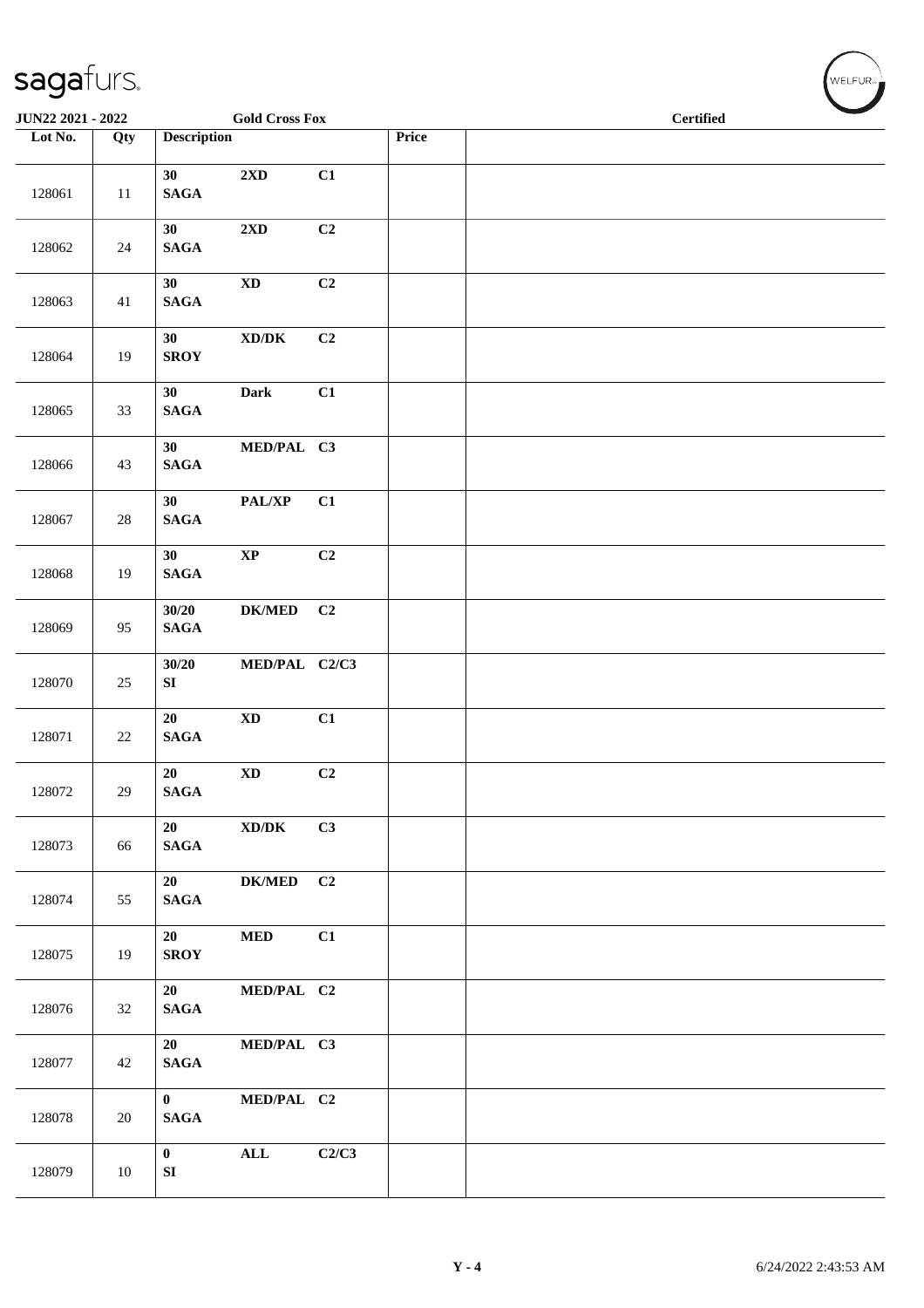| JUN22 2021 - 2022 |        |                                    | <b>Gold Cross Fox</b>                       |       |       | $\label{cor:1} \textbf{Certified}$ |
|-------------------|--------|------------------------------------|---------------------------------------------|-------|-------|------------------------------------|
| Lot No.           | Qty    | <b>Description</b>                 |                                             |       | Price |                                    |
| 128061            | 11     | 30<br><b>SAGA</b>                  | $2{\bf X}{\bf D}$                           | C1    |       |                                    |
| 128062            | 24     | 30<br>$\mathbf{SAGA}$              | 2XD                                         | C2    |       |                                    |
| 128063            | 41     | 30<br><b>SAGA</b>                  | $\mathbf{X}\mathbf{D}$                      | C2    |       |                                    |
| 128064            | 19     | 30<br><b>SROY</b>                  | $\boldsymbol{\text{XD} / \text{DK}}$        | C2    |       |                                    |
| 128065            | 33     | 30<br><b>SAGA</b>                  | <b>Dark</b>                                 | C1    |       |                                    |
| 128066            | 43     | 30 <sup>°</sup><br>$\mathbf{SAGA}$ | MED/PAL C3                                  |       |       |                                    |
| 128067            | 28     | 30<br>$\mathbf{SAGA}$              | PAL/XP                                      | C1    |       |                                    |
| 128068            | 19     | 30<br>$\mathbf{SAGA}$              | $\bold{XP}$                                 | C2    |       |                                    |
| 128069            | 95     | 30/20<br>$\mathbf{SAGA}$           | <b>DK/MED</b>                               | C2    |       |                                    |
| 128070            | 25     | 30/20<br>SI                        | MED/PAL C2/C3                               |       |       |                                    |
| 128071            | 22     | 20<br><b>SAGA</b>                  | $\mathbf{X}\mathbf{D}$                      | C1    |       |                                    |
| 128072            | $29\,$ | 20<br>$\mathbf{SAGA}$              | $\mathbf{X}\mathbf{D}$                      | C2    |       |                                    |
| 128073            | 66     | 20<br><b>SAGA</b>                  | $\mathbf{X}\mathbf{D}/\mathbf{D}\mathbf{K}$ | C3    |       |                                    |
| 128074            | 55     | 20<br>$\mathbf{SAGA}$              | DK/MED C2                                   |       |       |                                    |
| 128075            | 19     | 20<br><b>SROY</b>                  | <b>MED</b>                                  | C1    |       |                                    |
| 128076            | 32     | 20<br><b>SAGA</b>                  | MED/PAL C2                                  |       |       |                                    |
| 128077            | 42     | 20<br><b>SAGA</b>                  | MED/PAL C3                                  |       |       |                                    |
| 128078            | 20     | $\mathbf{0}$<br><b>SAGA</b>        | MED/PAL C2                                  |       |       |                                    |
| 128079            | 10     | $\mathbf{0}$<br>SI                 | ALL                                         | C2/C3 |       |                                    |

 $(\forall ELFUR_{\text{max}})$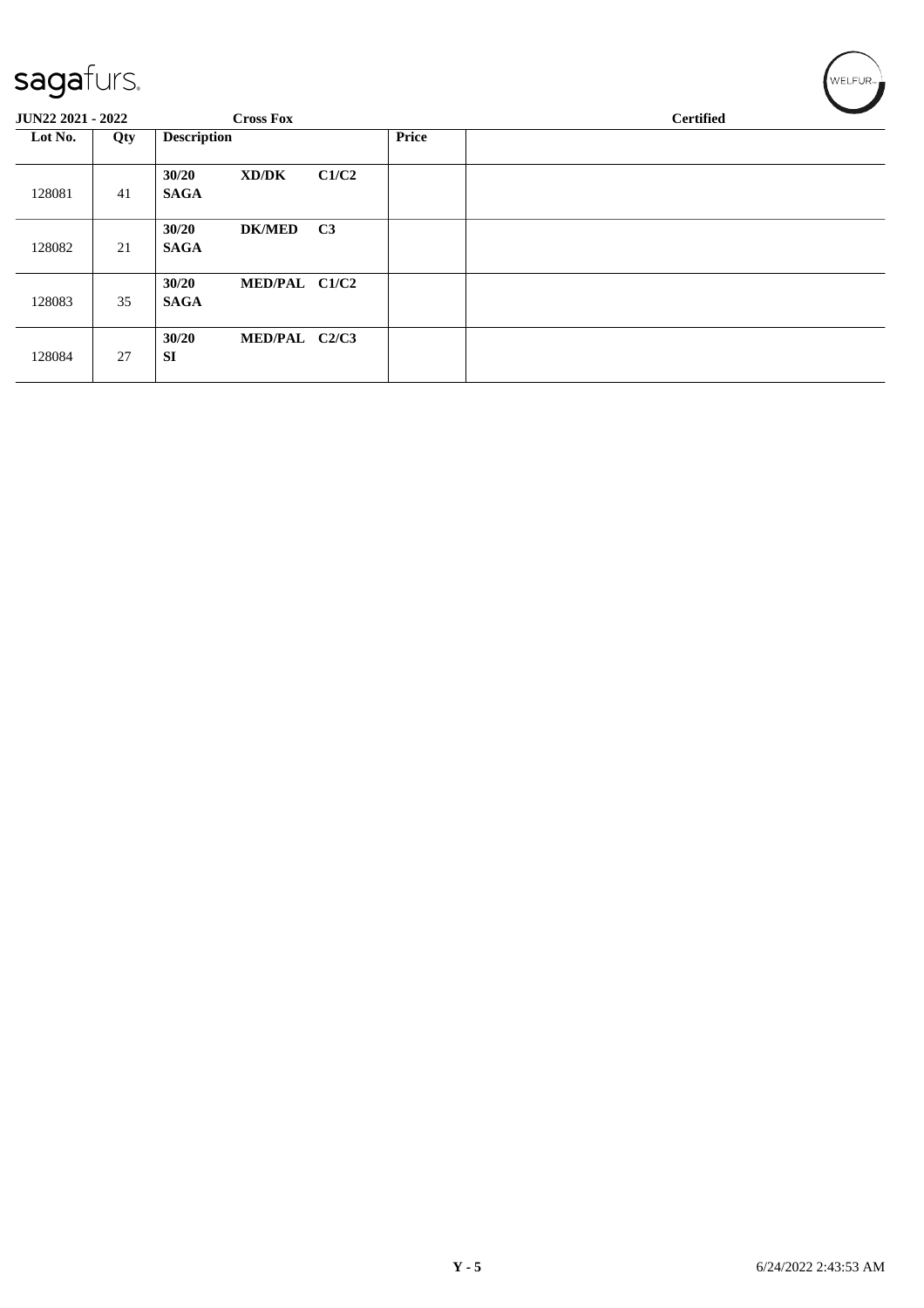| - - J<br>-<br>JUN22 2021 - 2022 | $   -$ | <b>Cross Fox</b>                      |               |       | <b>Certified</b> |
|---------------------------------|--------|---------------------------------------|---------------|-------|------------------|
| Lot No.                         | Qty    | <b>Description</b>                    |               | Price |                  |
| 128081                          | 41     | 30/20<br>XD/DK<br><b>SAGA</b>         | C1/C2         |       |                  |
| 128082                          | 21     | 30/20<br><b>DK/MED</b><br><b>SAGA</b> | C3            |       |                  |
| 128083                          | 35     | 30/20<br><b>SAGA</b>                  | MED/PAL C1/C2 |       |                  |
| 128084                          | 27     | 30/20<br>SI                           | MED/PAL C2/C3 |       |                  |

 $w$ ELFUR<sub>-</sub>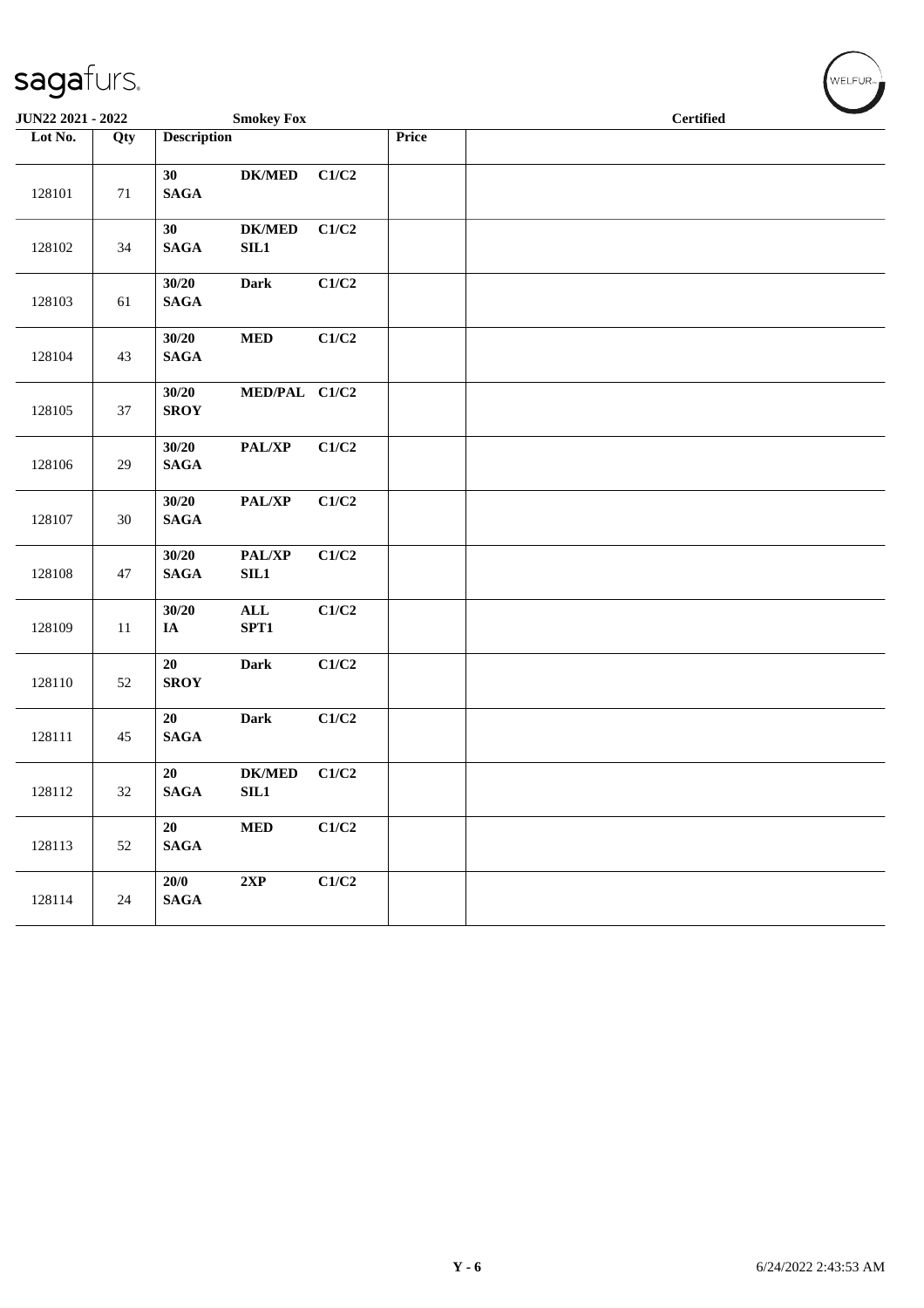| JUN22 2021 - 2022 |        |                                     | <b>Smokey Fox</b>          |       |       | <b>Certified</b> |  |
|-------------------|--------|-------------------------------------|----------------------------|-------|-------|------------------|--|
| Lot No.           | Qty    | <b>Description</b>                  |                            |       | Price |                  |  |
| 128101            | 71     | 30<br><b>SAGA</b>                   | <b>DK/MED</b>              | C1/C2 |       |                  |  |
| 128102            | 34     | 30<br>$\mathbf{SAGA}$<br>SIL1       | <b>DK/MED</b>              | C1/C2 |       |                  |  |
| 128103            | 61     | 30/20<br>Dark<br><b>SAGA</b>        |                            | C1/C2 |       |                  |  |
| 128104            | 43     | 30/20<br>$\bf MED$<br><b>SAGA</b>   |                            | C1/C2 |       |                  |  |
| 128105            | 37     | 30/20<br><b>SROY</b>                | MED/PAL C1/C2              |       |       |                  |  |
| 128106            | 29     | 30/20<br>$\mathbf{SAGA}$            | $\mathbf{PAL}/\mathbf{XP}$ | C1/C2 |       |                  |  |
| 128107            | $30\,$ | 30/20<br>$\mathbf{SAGA}$            | PAL/XP                     | C1/C2 |       |                  |  |
| 128108            | 47     | 30/20<br><b>SAGA</b><br>SL1         | PAL/XP                     | C1/C2 |       |                  |  |
| 128109            | $11\,$ | 30/20<br><b>ALL</b><br>SPT1<br>IA   |                            | C1/C2 |       |                  |  |
| 128110            | $52\,$ | $20\,$<br>Dark<br><b>SROY</b>       |                            | C1/C2 |       |                  |  |
| 128111            | 45     | 20<br>Dark<br>$\mathbf{SAGA}$       |                            | C1/C2 |       |                  |  |
| 128112            | 32     | 20<br><b>SAGA</b><br>SL1            | $DK/MED$                   | C1/C2 |       |                  |  |
| 128113            | 52     | 20<br><b>MED</b><br>$\mathbf{SAGA}$ |                            | C1/C2 |       |                  |  |
| 128114            | 24     | 20/0<br>2XP<br>$\mathbf{SAGA}$      |                            | C1/C2 |       |                  |  |

 $(\forall ELFUR_{\approx})$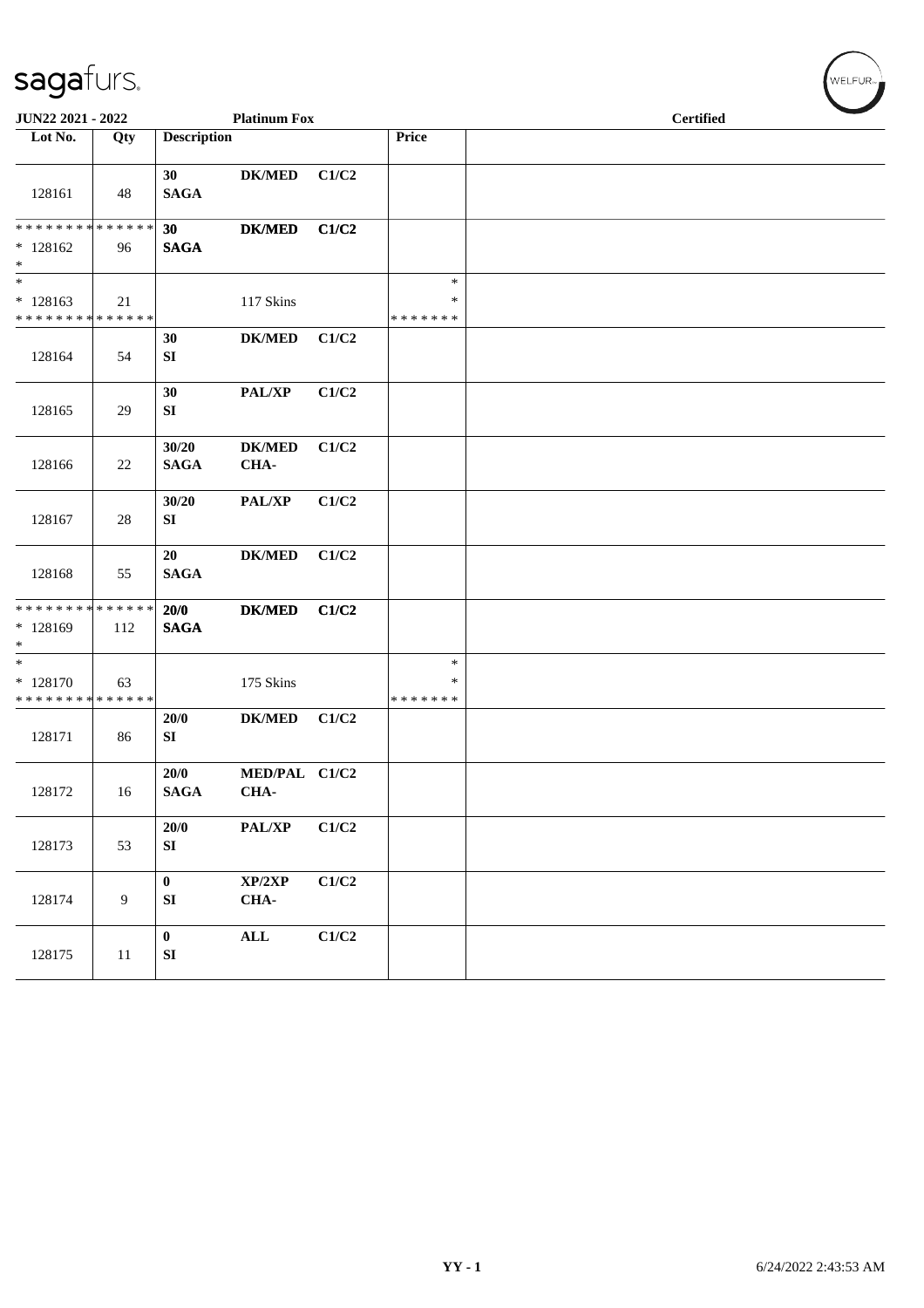| JUN22 2021 - 2022                                   |     |                                | <b>Platinum Fox</b>        |       |                                   |  | <b>Certified</b> |  |
|-----------------------------------------------------|-----|--------------------------------|----------------------------|-------|-----------------------------------|--|------------------|--|
| Lot No.                                             | Qty | <b>Description</b>             |                            |       | Price                             |  |                  |  |
| 128161                                              | 48  | 30 <sup>°</sup><br><b>SAGA</b> | <b>DK/MED</b>              | C1/C2 |                                   |  |                  |  |
| * * * * * * * * * * * * * *<br>$*128162$<br>$\ast$  | 96  | 30<br><b>SAGA</b>              | <b>DK/MED</b>              | C1/C2 |                                   |  |                  |  |
| $\ast$<br>$*128163$<br>******** <mark>******</mark> | 21  |                                | 117 Skins                  |       | $\ast$<br>$\ast$<br>* * * * * * * |  |                  |  |
| 128164                                              | 54  | 30<br>SI                       | <b>DK/MED</b>              | C1/C2 |                                   |  |                  |  |
| 128165                                              | 29  | 30<br>SI                       | $\mathbf{PAL}/\mathbf{XP}$ | C1/C2 |                                   |  |                  |  |
| 128166                                              | 22  | 30/20<br><b>SAGA</b>           | <b>DK/MED</b><br>CHA-      | C1/C2 |                                   |  |                  |  |
| 128167                                              | 28  | 30/20<br>${\bf SI}$            | PAL/XP                     | C1/C2 |                                   |  |                  |  |
| 128168                                              | 55  | 20<br><b>SAGA</b>              | <b>DK/MED</b>              | C1/C2 |                                   |  |                  |  |
| ******** <mark>******</mark><br>$*128169$<br>$*$    | 112 | 20/0<br><b>SAGA</b>            | <b>DK/MED</b>              | C1/C2 |                                   |  |                  |  |
| $\ast$<br>* 128170<br>* * * * * * * * * * * * * *   | 63  |                                | 175 Skins                  |       | $\ast$<br>∗<br>* * * * * * *      |  |                  |  |
| 128171                                              | 86  | 20/0<br>SI                     | <b>DK/MED</b>              | C1/C2 |                                   |  |                  |  |
| 128172                                              | 16  | 20/0<br><b>SAGA</b>            | MED/PAL C1/C2<br>CHA-      |       |                                   |  |                  |  |
| 128173                                              | 53  | 20/0<br>SI                     | PAL/XP                     | C1/C2 |                                   |  |                  |  |
| 128174                                              | 9   | $\mathbf{0}$<br>SI             | XP/2XP<br>CHA-             | C1/C2 |                                   |  |                  |  |
| 128175                                              | 11  | $\bf{0}$<br>${\bf S}{\bf I}$   | $\mathbf{ALL}$             | C1/C2 |                                   |  |                  |  |

WELFUR<sub>T</sub>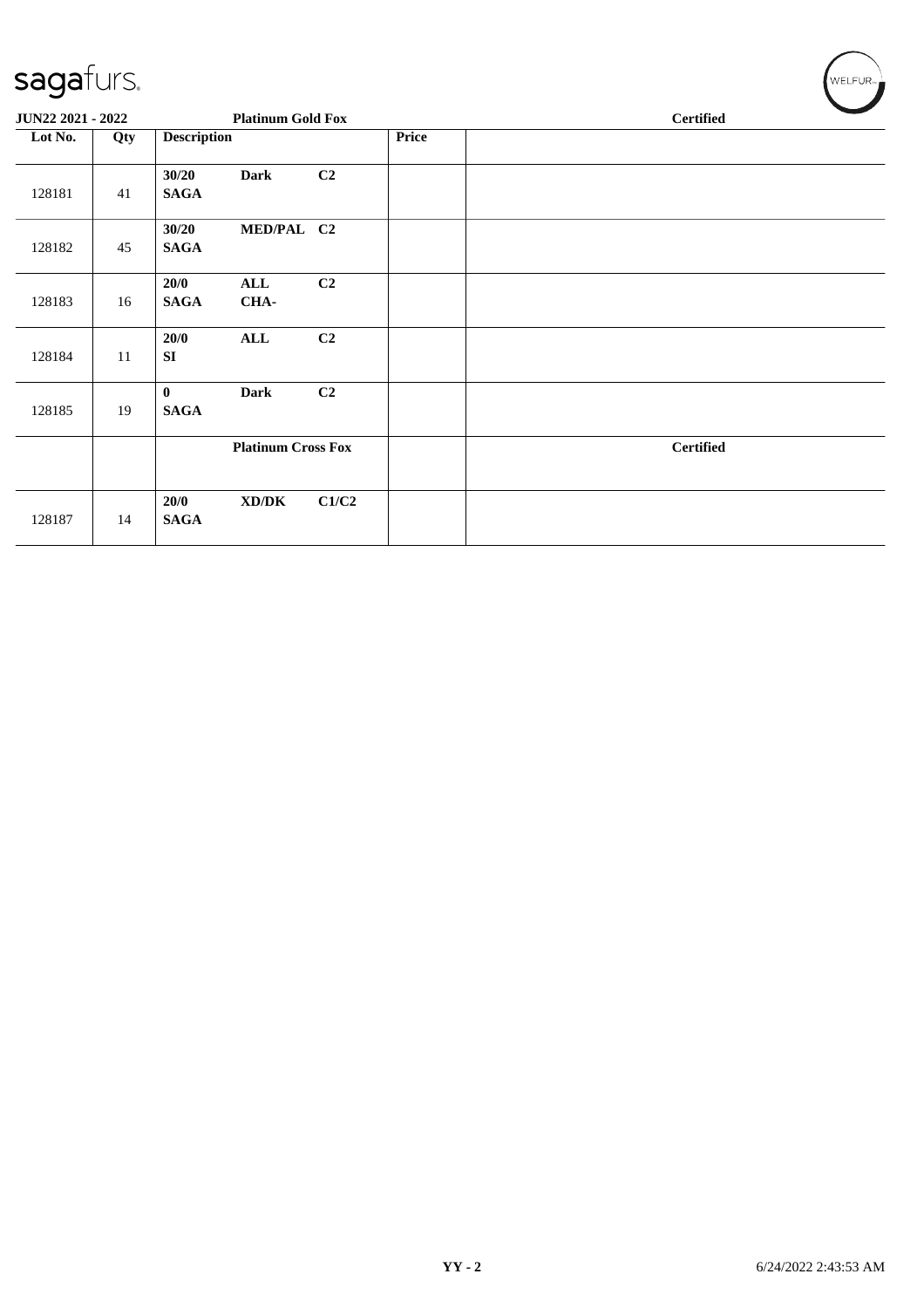| JUN22 2021 - 2022 |     |                         | <b>Platinum Gold Fox</b>  |       |       | <b>Certified</b> |
|-------------------|-----|-------------------------|---------------------------|-------|-------|------------------|
| Lot No.           | Qty | <b>Description</b>      |                           |       | Price |                  |
| 128181            | 41  | 30/20<br><b>SAGA</b>    | <b>Dark</b>               | C2    |       |                  |
| 128182            | 45  | 30/20<br><b>SAGA</b>    | MED/PAL C2                |       |       |                  |
| 128183            | 16  | 20/0<br><b>SAGA</b>     | <b>ALL</b><br>CHA-        | C2    |       |                  |
| 128184            | 11  | 20/0<br>SI              | <b>ALL</b>                | C2    |       |                  |
| 128185            | 19  | $\bf{0}$<br><b>SAGA</b> | <b>Dark</b>               | C2    |       |                  |
|                   |     |                         | <b>Platinum Cross Fox</b> |       |       | <b>Certified</b> |
| 128187            | 14  | 20/0<br><b>SAGA</b>     | XD/DK                     | C1/C2 |       |                  |

WELFUR<sub>T</sub>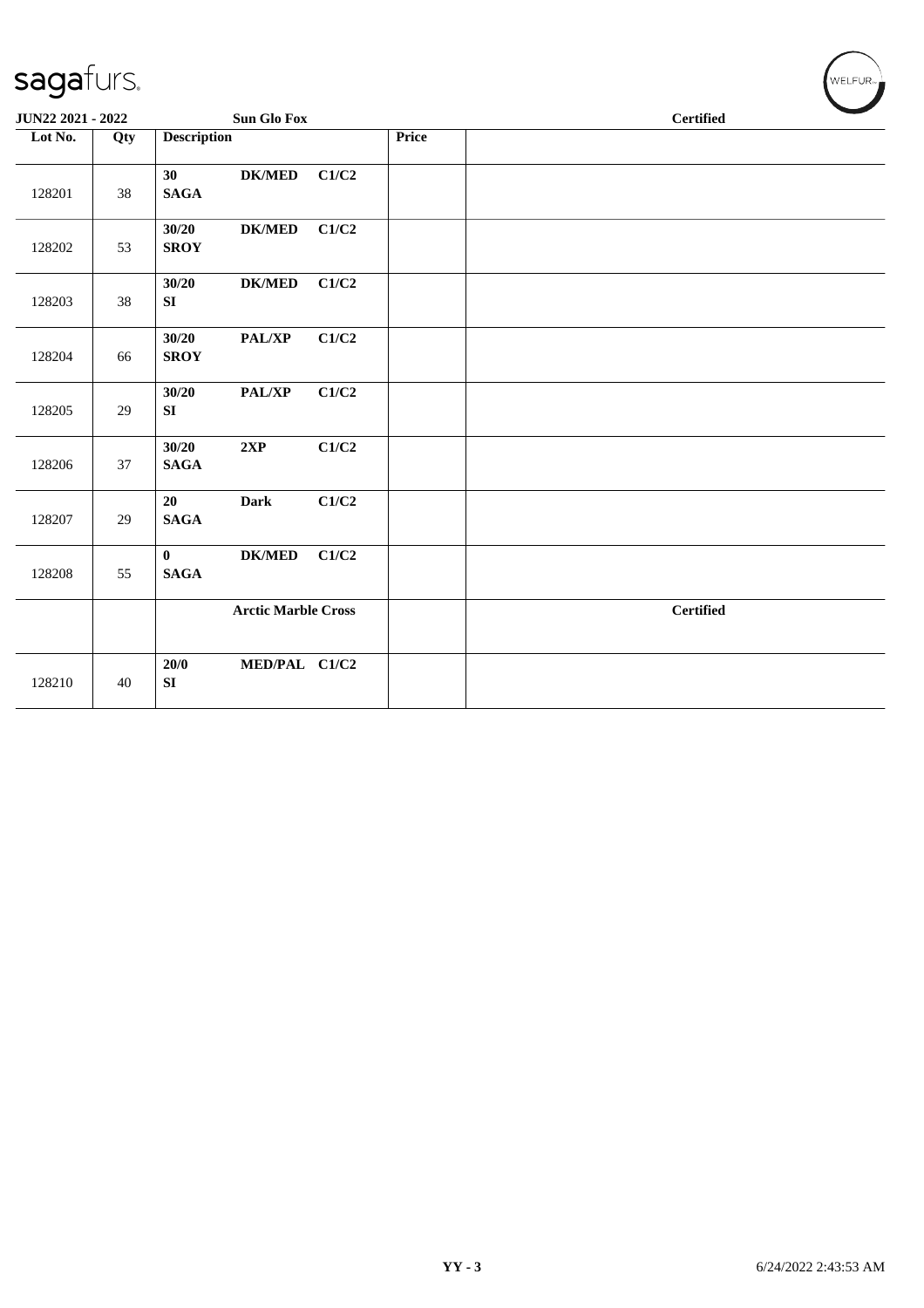| sagafurs.         |     |                                           |       |       | WELFUR <sub>™</sub> |
|-------------------|-----|-------------------------------------------|-------|-------|---------------------|
| JUN22 2021 - 2022 |     | <b>Sun Glo Fox</b>                        |       |       | <b>Certified</b>    |
| Lot No.           | Qty | <b>Description</b>                        |       | Price |                     |
| 128201            | 38  | 30<br><b>DK/MED</b><br><b>SAGA</b>        | C1/C2 |       |                     |
| 128202            | 53  | 30/20<br><b>DK/MED</b><br><b>SROY</b>     | C1/C2 |       |                     |
| 128203            | 38  | 30/20<br><b>DK/MED</b><br>SI              | C1/C2 |       |                     |
| 128204            | 66  | 30/20<br>PAL/XP<br><b>SROY</b>            | C1/C2 |       |                     |
| 128205            | 29  | 30/20<br>PAL/XP<br>SI                     | C1/C2 |       |                     |
| 128206            | 37  | 30/20<br>2XP<br><b>SAGA</b>               | C1/C2 |       |                     |
| 128207            | 29  | <b>Dark</b><br>20<br><b>SAGA</b>          | C1/C2 |       |                     |
| 128208            | 55  | $DK/MED$<br>$\mathbf{0}$<br><b>SAGA</b>   | C1/C2 |       |                     |
|                   |     | <b>Arctic Marble Cross</b>                |       |       | <b>Certified</b>    |
| 128210            | 40  | MED/PAL C1/C2<br>20/0<br>${\bf S}{\bf I}$ |       |       |                     |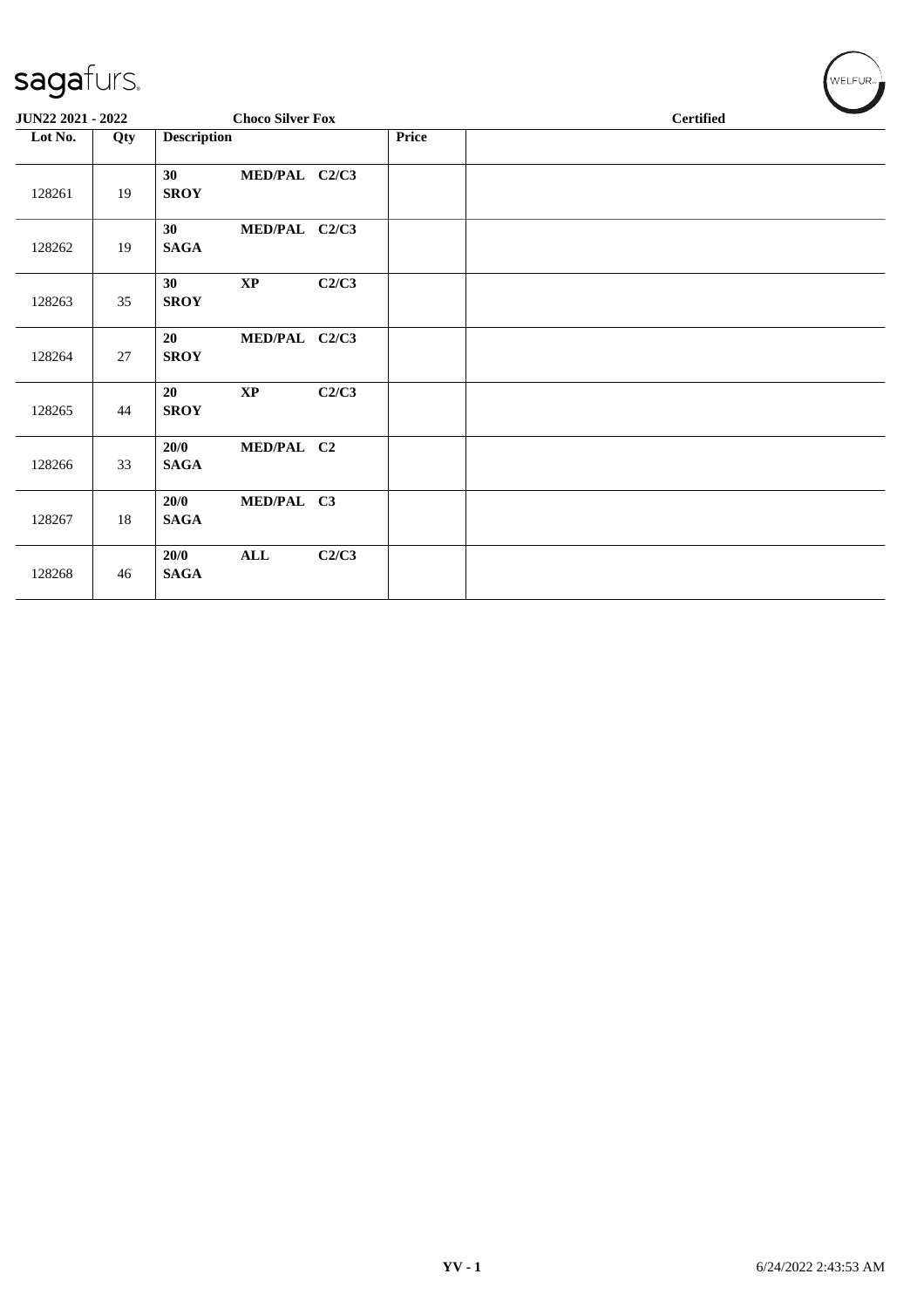| sagafurs.         |     |                     |                         |       |              |  |                  | WELFUR <sub>™</sub> |
|-------------------|-----|---------------------|-------------------------|-------|--------------|--|------------------|---------------------|
| JUN22 2021 - 2022 |     |                     | <b>Choco Silver Fox</b> |       |              |  | <b>Certified</b> |                     |
| Lot No.           | Qty | <b>Description</b>  |                         |       | <b>Price</b> |  |                  |                     |
| 128261            | 19  | 30<br><b>SROY</b>   | MED/PAL C2/C3           |       |              |  |                  |                     |
| 128262            | 19  | 30<br><b>SAGA</b>   | MED/PAL C2/C3           |       |              |  |                  |                     |
| 128263            | 35  | 30<br><b>SROY</b>   | $\bold{XP}$             | C2/C3 |              |  |                  |                     |
| 128264            | 27  | 20<br><b>SROY</b>   | MED/PAL C2/C3           |       |              |  |                  |                     |
| 128265            | 44  | 20<br><b>SROY</b>   | $\mathbf{X}\mathbf{P}$  | C2/C3 |              |  |                  |                     |
| 128266            | 33  | 20/0<br><b>SAGA</b> | MED/PAL C2              |       |              |  |                  |                     |
| 128267            | 18  | 20/0<br><b>SAGA</b> | MED/PAL C3              |       |              |  |                  |                     |
| 128268            | 46  | 20/0<br><b>SAGA</b> | $\mathbf{ALL}$          | C2/C3 |              |  |                  |                     |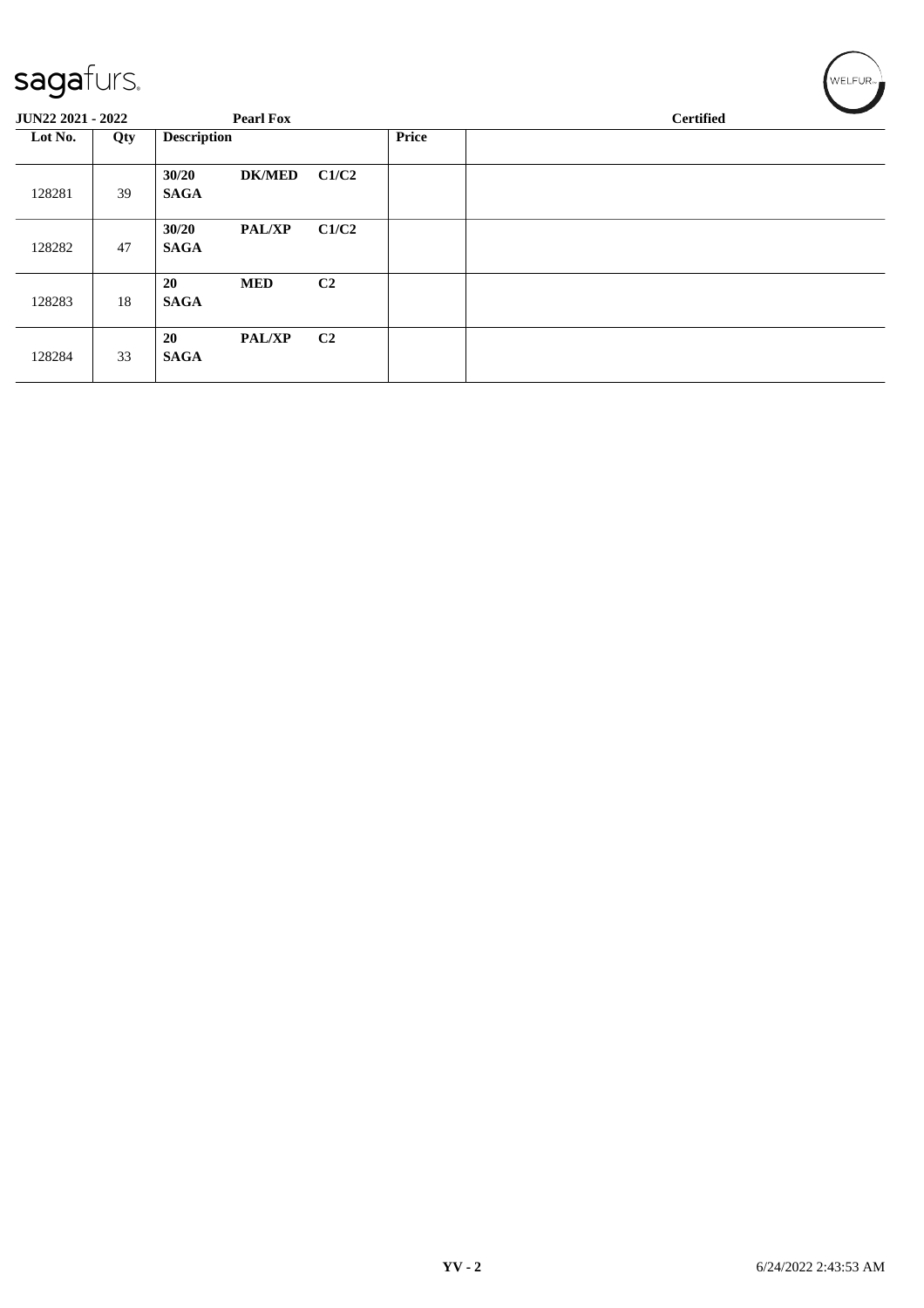| sagafurs.         |     |                      |                  |                |              | WELFUR <sub>™</sub> |
|-------------------|-----|----------------------|------------------|----------------|--------------|---------------------|
| JUN22 2021 - 2022 |     |                      | <b>Pearl Fox</b> |                |              | <b>Certified</b>    |
| Lot No.           | Qty | <b>Description</b>   |                  |                | <b>Price</b> |                     |
| 128281            | 39  | 30/20<br><b>SAGA</b> | <b>DK/MED</b>    | C1/C2          |              |                     |
| 128282            | 47  | 30/20<br><b>SAGA</b> | <b>PAL/XP</b>    | C1/C2          |              |                     |
| 128283            | 18  | 20<br><b>SAGA</b>    | <b>MED</b>       | C <sub>2</sub> |              |                     |
| 128284            | 33  | 20<br><b>SAGA</b>    | <b>PAL/XP</b>    | C <sub>2</sub> |              |                     |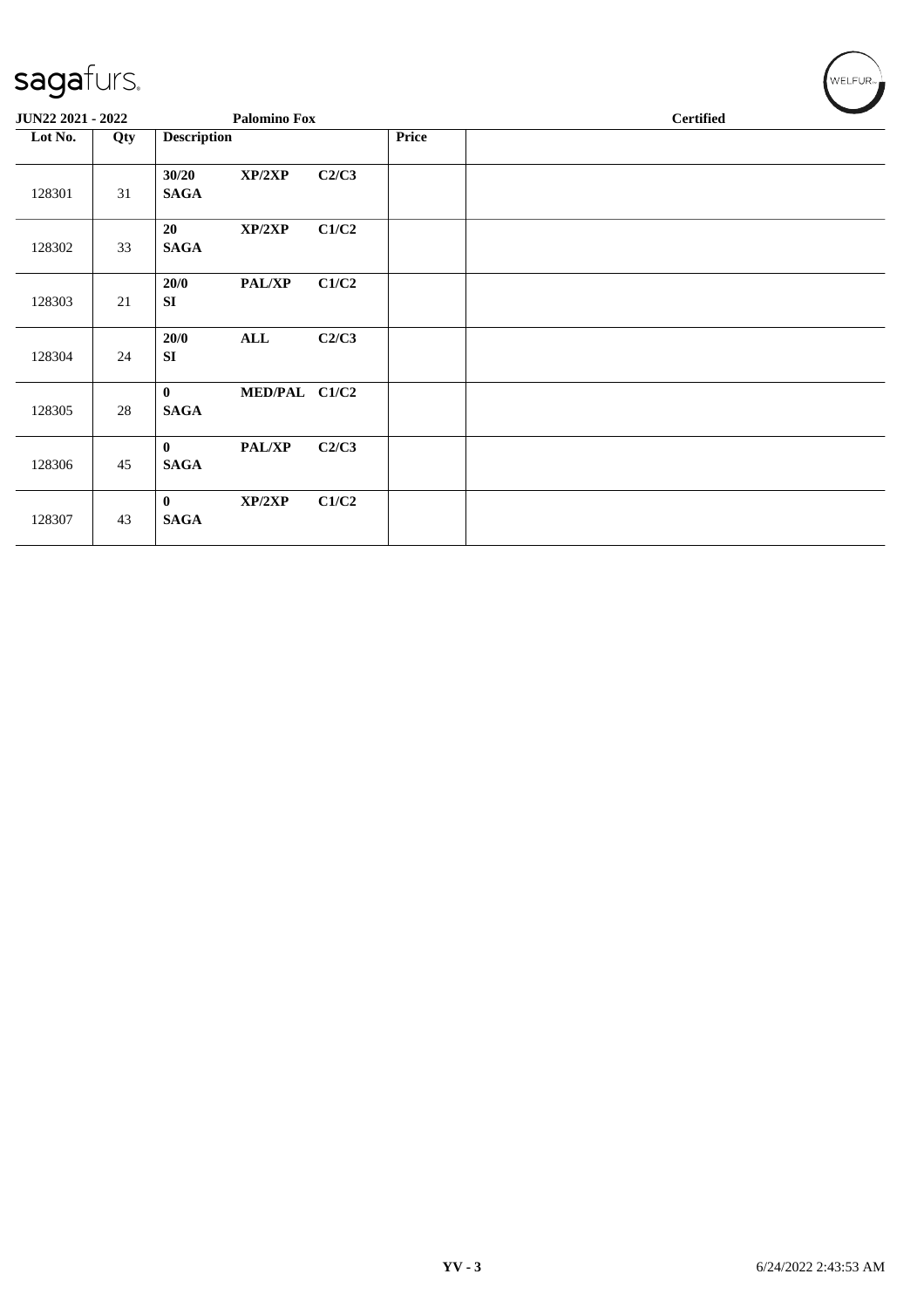| $\overline{\phantom{a}}$ |     |                             |                     |       |       |  |                  |  |
|--------------------------|-----|-----------------------------|---------------------|-------|-------|--|------------------|--|
| JUN22 2021 - 2022        |     |                             | <b>Palomino Fox</b> |       |       |  | <b>Certified</b> |  |
| Lot No.                  | Qty | <b>Description</b>          |                     |       | Price |  |                  |  |
| 128301                   | 31  | 30/20<br><b>SAGA</b>        | XP/2XP              | C2/C3 |       |  |                  |  |
| 128302                   | 33  | 20<br><b>SAGA</b>           | XP/2XP              | C1/C2 |       |  |                  |  |
| 128303                   | 21  | 20/0<br>SI                  | PAL/XP              | C1/C2 |       |  |                  |  |
| 128304                   | 24  | 20/0<br>SI                  | <b>ALL</b>          | C2/C3 |       |  |                  |  |
| 128305                   | 28  | $\mathbf{0}$<br><b>SAGA</b> | MED/PAL C1/C2       |       |       |  |                  |  |
| 128306                   | 45  | $\mathbf{0}$<br><b>SAGA</b> | <b>PAL/XP</b>       | C2/C3 |       |  |                  |  |
| 128307                   | 43  | $\mathbf{0}$<br><b>SAGA</b> | XP/2XP              | C1/C2 |       |  |                  |  |

 $w$ ELFUR<sub><sup>n</sub></sub></sub></sup>